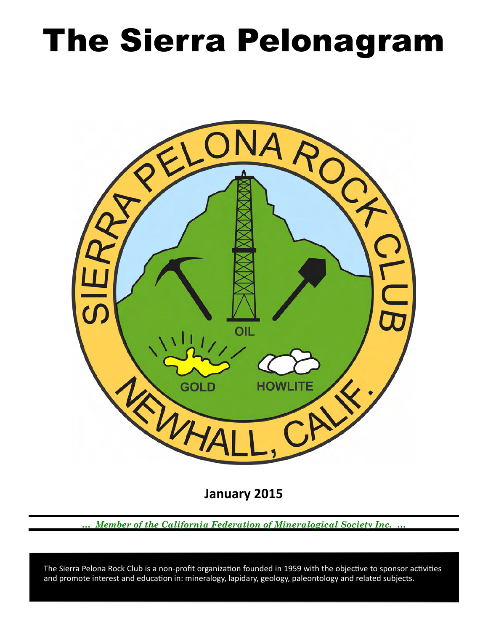# The Sierra Pelonagram



**January 2015**

*… Member of the California Federation of Mineralogical Society Inc. …*

and promote interest and education in: mineralogy, lapidary, geology, paleontology and related subjects. The Sierra Pelona Rock Club is a non-profit organization founded in 1959 with the objective to sponsor activities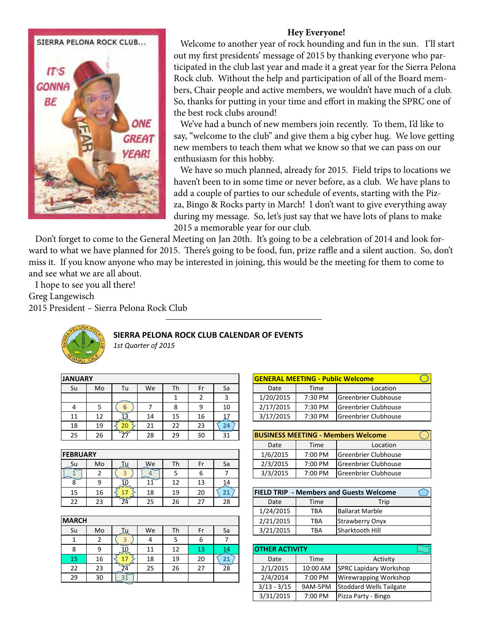

# **Hey Everyone!**

Welcome to another year of rock hounding and fun in the sun. I'll start out my frst presidents' message of 2015 by thanking everyone who participated in the club last year and made it a great year for the Sierra Pelona Rock club. Without the help and participation of all of the Board members, Chair people and active members, we wouldn't have much of a club. So, thanks for putting in your time and efort in making the SPRC one of the best rock clubs around!

 We've had a bunch of new members join recently. To them, I'd like to say, "welcome to the club" and give them a big cyber hug. We love getting new members to teach them what we know so that we can pass on our enthusiasm for this hobby.

 We have so much planned, already for 2015. Field trips to locations we haven't been to in some time or never before, as a club. We have plans to add a couple of parties to our schedule of events, starting with the Pizza, Bingo & Rocks party in March! I don't want to give everything away during my message. So, let's just say that we have lots of plans to make 2015 a memorable year for our club.

 Don't forget to come to the General Meeting on Jan 20th. It's going to be a celebration of 2014 and look forward to what we have planned for 2015. There's going to be food, fun, prize raffle and a silent auction. So, don't miss it. If you know anyone who may be interested in joining, this would be the meeting for them to come to and see what we are all about.

I hope to see you all there!

Greg Langewisch

2015 President – Sierra Pelona Rock Club



## SIERRA PELONA ROCK CLUB CALENDAR OF EVENTS

1st Quarter of 2015

| <b>JANUARY</b> |    |                 | <mark> GENERAL MEETING - Pเ</mark> |    |    |    |                             |         |
|----------------|----|-----------------|------------------------------------|----|----|----|-----------------------------|---------|
| Su             | Mo | Tu              | We                                 | Th | Fr | Sa | Date                        | Time    |
|                |    |                 |                                    |    |    | 3  | 1/20/2015                   | 7:30 PM |
|                |    | 6               |                                    | 8  |    | 10 | 2/17/2015                   | 7:30 PM |
| 11             | 12 |                 | 14                                 | 15 | 16 |    | 3/17/2015                   | 7:30 PM |
| 18             | 19 | 20              | 21                                 | 22 | 23 | 24 |                             |         |
| 25             | 26 | $\overline{27}$ | 28                                 | 29 | 30 | 31 | <b>BUSINESS MEETING - M</b> |         |

|                 |    |    |     |    |    | <b>Ducc</b> | . 9     | LUUU                                           |
|-----------------|----|----|-----|----|----|-------------|---------|------------------------------------------------|
| <b>FEBRUARY</b> |    |    |     |    |    | 1/6/2015    | 7:00 PM | <b>Greenbrier Clubho</b>                       |
| _Su             | Mo | We | Th. | Fr | Sa | 2/3/2015    | 7:00 PM | <b>Greenbrier Clubho</b>                       |
|                 |    |    |     | 6  |    | 3/3/2015    | 7:00 PM | <b>Greenbrier Clubho</b>                       |
|                 | q  | 11 | 12  | 13 | 14 |             |         |                                                |
| 15              | 16 | 18 | 19  | 20 | 21 |             |         | <b>IFIELD TRIP - Members and Guests Welcon</b> |
| 22              | 23 | 25 | 26  | 27 | 28 | Date        | Time    | Trip                                           |

| <b>MARCH</b> |    |                 |    |    |    |    | 2/21/2015             | <b>TBA</b>        | Strawberry Or        |
|--------------|----|-----------------|----|----|----|----|-----------------------|-------------------|----------------------|
| Su           | Mo | ⊤u ⊺            | We | Th | Fr | Sa | 3/21/2015             | <b>TBA</b>        | Sharktooth Hi        |
|              |    |                 | 4  |    | 6  |    |                       |                   |                      |
| 8            | 9  | <u> JO</u>      | 11 | 12 | 13 | 14 | <b>OTHER ACTIVITY</b> |                   |                      |
| 15           | 16 | 17              | 18 | 19 | 20 | 21 | Date                  | Time              | A                    |
| 22           | 23 | $\overline{24}$ | 25 | 26 | 27 | 28 | 2/1/2015              | 10:00 AM          | <b>SPRC Lapidary</b> |
| 29           | 30 | 31              |    |    |    |    | 2/4/2014              | 7:00 PM           | Wirewrapping         |
|              |    |                 |    |    |    |    | $\frac{1}{2}$         | - - - - - - - - - | .                    |

|   |    |    |    |    |    | <b>GENERAL MEETING - Public Welcome</b> |         |                             |  |
|---|----|----|----|----|----|-----------------------------------------|---------|-----------------------------|--|
| O | Tu | We | Th | Fr | Sa | Date                                    | Time    | Location                    |  |
|   |    |    |    |    |    | 1/20/2015                               | 7:30 PM | <b>Greenbrier Clubhouse</b> |  |
|   | h. |    |    | 9  | 10 | 2/17/2015                               | 7:30 PM | <b>Greenbrier Clubhouse</b> |  |
|   |    | 14 | 15 | 16 |    | 3/17/2015                               | 7:30 PM | Greenbrier Clubhouse        |  |
|   |    |    |    |    |    |                                         |         |                             |  |

| <b>BUSINESS MEETING - Members Welcome</b> |         |                             |  |  |  |  |  |  |  |
|-------------------------------------------|---------|-----------------------------|--|--|--|--|--|--|--|
| Date                                      | Time    | Location                    |  |  |  |  |  |  |  |
| 1/6/2015                                  | 7:00 PM | Greenbrier Clubhouse        |  |  |  |  |  |  |  |
| 2/3/2015                                  | 7:00 PM | Greenbrier Clubhouse        |  |  |  |  |  |  |  |
| 3/3/2015                                  | 7:00 PM | <b>Greenbrier Clubhouse</b> |  |  |  |  |  |  |  |

| <b>FIELD TRIP - Members and Guests Welcome</b> |      |                        |  |  |  |  |  |  |  |
|------------------------------------------------|------|------------------------|--|--|--|--|--|--|--|
| Date                                           | Time | Trip                   |  |  |  |  |  |  |  |
| 1/24/2015                                      | TRA  | <b>Ballarat Marble</b> |  |  |  |  |  |  |  |
| 2/21/2015                                      | TRA  | <b>Strawberry Onyx</b> |  |  |  |  |  |  |  |
| 3/21/2015                                      | TRA  | Sharktooth Hill        |  |  |  |  |  |  |  |

| <b>OTHER ACTIVITY</b> |          |                                |  |  |  |  |  |  |
|-----------------------|----------|--------------------------------|--|--|--|--|--|--|
| Date                  | Time     | Activity                       |  |  |  |  |  |  |
| 2/1/2015              | 10:00 AM | <b>SPRC Lapidary Workshop</b>  |  |  |  |  |  |  |
| 2/4/2014              | 7:00 PM  | <b>Wirewrapping Workshop</b>   |  |  |  |  |  |  |
| $3/13 - 3/15$         | 9AM-5PM  | <b>Stoddard Wells Tailgate</b> |  |  |  |  |  |  |
| 3/31/2015             | 7:00 PM  | Pizza Party - Bingo            |  |  |  |  |  |  |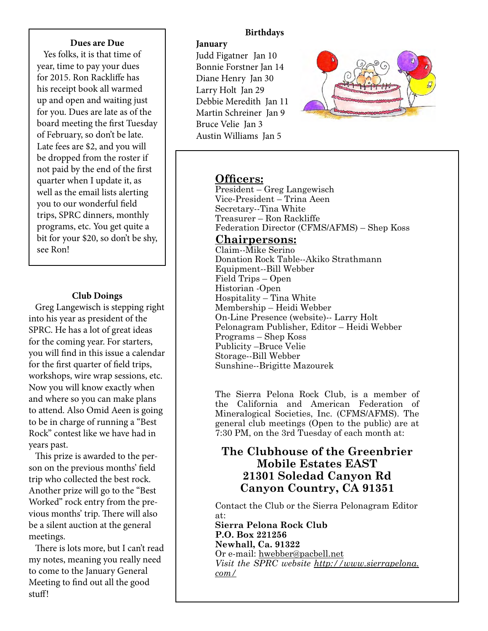#### **Dues are Due**

 Yes folks, it is that time of year, time to pay your dues for 2015. Ron Racklife has his receipt book all warmed up and open and waiting just for you. Dues are late as of the board meeting the frst Tuesday of February, so don't be late. Late fees are \$2, and you will be dropped from the roster if not paid by the end of the frst quarter when I update it, as well as the email lists alerting you to our wonderful feld trips, SPRC dinners, monthly programs, etc. You get quite a bit for your \$20, so don't be shy, see Ron!

## **Club Doings**

 Greg Langewisch is stepping right into his year as president of the SPRC. He has a lot of great ideas for the coming year. For starters, you will fnd in this issue a calendar for the frst quarter of feld trips, workshops, wire wrap sessions, etc. Now you will know exactly when and where so you can make plans to attend. Also Omid Aeen is going to be in charge of running a "Best Rock" contest like we have had in years past.

This prize is awarded to the person on the previous months' feld trip who collected the best rock. Another prize will go to the "Best Worked" rock entry from the previous months' trip. There will also be a silent auction at the general meetings.

There is lots more, but I can't read my notes, meaning you really need to come to the January General Meeting to fnd out all the good stuff!

## **Birthdays**

# **January**

Judd Figatner Jan 10 Bonnie Forstner Jan 14 Diane Henry Jan 30 Larry Holt Jan 29 Debbie Meredith Jan 11 Martin Schreiner Jan 9 Bruce Velie Jan 3 Austin Williams Jan 5



# **Officers:**

President – Greg Langewisch Vice-President – Trina Aeen Secretary--Tina White Treasurer – Ron Rackliffe Federation Director (CFMS/AFMS) – Shep Koss

## **Chairpersons:**

Claim--Mike Serino Donation Rock Table--Akiko Strathmann Equipment--Bill Webber Field Trips – Open Historian -Open Hospitality – Tina White Membership – Heidi Webber On-Line Presence (website)-- Larry Holt Pelonagram Publisher, Editor – Heidi Webber Programs – Shep Koss Publicity –Bruce Velie Storage--Bill Webber Sunshine--Brigitte Mazourek

The Sierra Pelona Rock Club, is a member of the California and American Federation of Mineralogical Societies, Inc. (CFMS/AFMS). The general club meetings (Open to the public) are at 7:30 PM, on the 3rd Tuesday of each month at:

# **The Clubhouse of the Greenbrier Mobile Estates EAST** 21301 Soledad Canyon Rd Canyon Country, CA 91351

Contact the Club or the Sierra Pelonagram Editor at:

**Sierra Pelona Rock Club** P.O. Box 221256 **Newhall, Ca. 91322** Or e-mail: hwebber@pacbell.net *Visit the SPRC website http://www.sierrapelona. com/*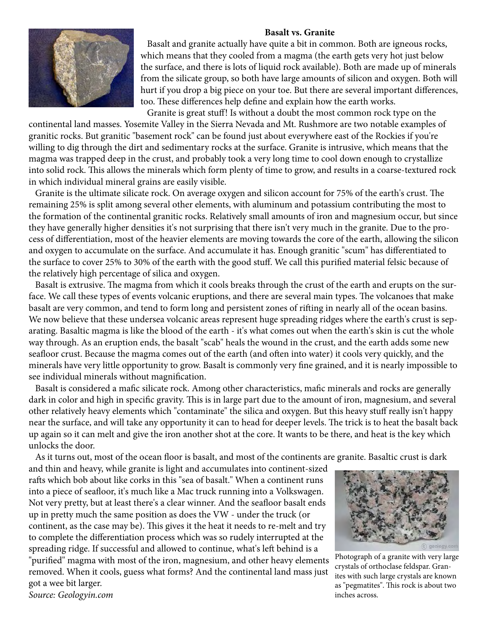#### **Basalt vs. Granite**



 Basalt and granite actually have quite a bit in common. Both are igneous rocks, which means that they cooled from a magma (the earth gets very hot just below the surface, and there is lots of liquid rock available). Both are made up of minerals from the silicate group, so both have large amounts of silicon and oxygen. Both will hurt if you drop a big piece on your toe. But there are several important diferences, too. These differences help define and explain how the earth works.

 Granite is great stuf! Is without a doubt the most common rock type on the continental land masses. Yosemite Valley in the Sierra Nevada and Mt. Rushmore are two notable examples of granitic rocks. But granitic "basement rock" can be found just about everywhere east of the Rockies if you're willing to dig through the dirt and sedimentary rocks at the surface. Granite is intrusive, which means that the magma was trapped deep in the crust, and probably took a very long time to cool down enough to crystallize into solid rock. This allows the minerals which form plenty of time to grow, and results in a coarse-textured rock in which individual mineral grains are easily visible.

Granite is the ultimate silicate rock. On average oxygen and silicon account for 75% of the earth's crust. The remaining 25% is split among several other elements, with aluminum and potassium contributing the most to the formation of the continental granitic rocks. Relatively small amounts of iron and magnesium occur, but since they have generally higher densities it's not surprising that there isn't very much in the granite. Due to the process of diferentiation, most of the heavier elements are moving towards the core of the earth, allowing the silicon and oxygen to accumulate on the surface. And accumulate it has. Enough granitic "scum" has diferentiated to the surface to cover 25% to 30% of the earth with the good stuf. We call this purifed material felsic because of the relatively high percentage of silica and oxygen.

Basalt is extrusive. The magma from which it cools breaks through the crust of the earth and erupts on the surface. We call these types of events volcanic eruptions, and there are several main types. The volcanoes that make basalt are very common, and tend to form long and persistent zones of rifing in nearly all of the ocean basins. We now believe that these undersea volcanic areas represent huge spreading ridges where the earth's crust is separating. Basaltic magma is like the blood of the earth - it's what comes out when the earth's skin is cut the whole way through. As an eruption ends, the basalt "scab" heals the wound in the crust, and the earth adds some new seafloor crust. Because the magma comes out of the earth (and often into water) it cools very quickly, and the minerals have very little opportunity to grow. Basalt is commonly very fne grained, and it is nearly impossible to see individual minerals without magnifcation.

 Basalt is considered a mafc silicate rock. Among other characteristics, mafc minerals and rocks are generally dark in color and high in specific gravity. This is in large part due to the amount of iron, magnesium, and several other relatively heavy elements which "contaminate" the silica and oxygen. But this heavy stuf really isn't happy near the surface, and will take any opportunity it can to head for deeper levels. The trick is to heat the basalt back up again so it can melt and give the iron another shot at the core. It wants to be there, and heat is the key which unlocks the door.

As it turns out, most of the ocean floor is basalt, and most of the continents are granite. Basaltic crust is dark

and thin and heavy, while granite is light and accumulates into continent-sized rafts which bob about like corks in this "sea of basalt." When a continent runs into a piece of seafoor, it's much like a Mac truck running into a Volkswagen. Not very pretty, but at least there's a clear winner. And the seafoor basalt ends up in pretty much the same position as does the VW - under the truck (or continent, as the case may be). This gives it the heat it needs to re-melt and try to complete the diferentiation process which was so rudely interrupted at the spreading ridge. If successful and allowed to continue, what's left behind is a "purifed" magma with most of the iron, magnesium, and other heavy elements removed. When it cools, guess what forms? And the continental land mass just got a wee bit larger. Source: Geologyin.com



Photograph of a granite with very large crystals of orthoclase feldspar. Granites with such large crystals are known as "pegmatites". This rock is about two inches across.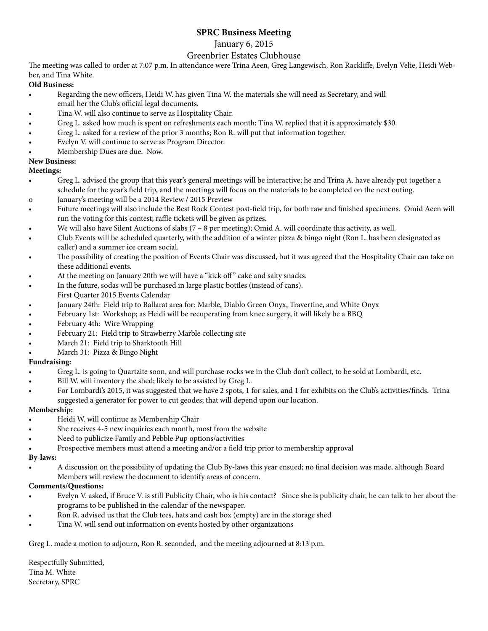# **SPRC Business Meeting**

## January 6, 2015

## Greenbrier Estates Clubhouse

The meeting was called to order at 7:07 p.m. In attendance were Trina Aeen, Greg Langewisch, Ron Rackliffe, Evelyn Velie, Heidi Webber, and Tina White.

#### **Old Business:**

- Regarding the new officers, Heidi W. has given Tina W. the materials she will need as Secretary, and will email her the Club's official legal documents.
- Tina W. will also continue to serve as Hospitality Chair.
- Greg L. asked how much is spent on refreshments each month; Tina W. replied that it is approximately \$30.
- Greg L. asked for a review of the prior 3 months; Ron R. will put that information together.
- Evelyn V. will continue to serve as Program Director.
- Membership Dues are due. Now.

## **New Business:**

## **Meetings:**

- Greg L. advised the group that this year's general meetings will be interactive; he and Trina A. have already put together a schedule for the year's feld trip, and the meetings will focus on the materials to be completed on the next outing.
- o January's meeting will be a 2014 Review / 2015 Preview
- Future meetings will also include the Best Rock Contest post-field trip, for both raw and finished specimens. Omid Aeen will run the voting for this contest; raffle tickets will be given as prizes.
- We will also have Silent Auctions of slabs  $(7 8$  per meeting); Omid A. will coordinate this activity, as well.
- Club Events will be scheduled quarterly, with the addition of a winter pizza & bingo night (Ron L. has been designated as caller) and a summer ice cream social.
- The possibility of creating the position of Events Chair was discussed, but it was agreed that the Hospitality Chair can take on these additional events.
- At the meeting on January 20th we will have a "kick off" cake and salty snacks.
- In the future, sodas will be purchased in large plastic bottles (instead of cans).
- First Quarter 2015 Events Calendar
- January 24th: Field trip to Ballarat area for: Marble, Diablo Green Onyx, Travertine, and White Onyx
- February 1st: Workshop; as Heidi will be recuperating from knee surgery, it will likely be a BBQ
- February 4th: Wire Wrapping
- February 21: Field trip to Strawberry Marble collecting site
- March 21: Field trip to Sharktooth Hill
- March 31: Pizza & Bingo Night

## **Fundraising:**

- Greg L. is going to Quartzite soon, and will purchase rocks we in the Club don't collect, to be sold at Lombardi, etc.
- Bill W. will inventory the shed; likely to be assisted by Greg L.
- For Lombardi's 2015, it was suggested that we have 2 spots, 1 for sales, and 1 for exhibits on the Club's activities/finds. Trina suggested a generator for power to cut geodes; that will depend upon our location.

## **Membership:**

- Heidi W. will continue as Membership Chair
- She receives 4-5 new inquiries each month, most from the website
- Need to publicize Family and Pebble Pup options/activities
- Prospective members must attend a meeting and/or a field trip prior to membership approval

#### **By-laws:**

A discussion on the possibility of updating the Club By-laws this year ensued; no final decision was made, although Board Members will review the document to identify areas of concern.

## **Comments/Questions:**

- Evelyn V. asked, if Bruce V. is still Publicity Chair, who is his contact? Since she is publicity chair, he can talk to her about the programs to be published in the calendar of the newspaper.
- Shon R. advised us that the Club tees, hats and cash box (empty) are in the storage shed
- Tina W. will send out information on events hosted by other organizations

Greg L. made a motion to adjourn, Ron R. seconded, and the meeting adjourned at 8:13 p.m.

Respectfully Submitted, Tina M. White Secretary, SPRC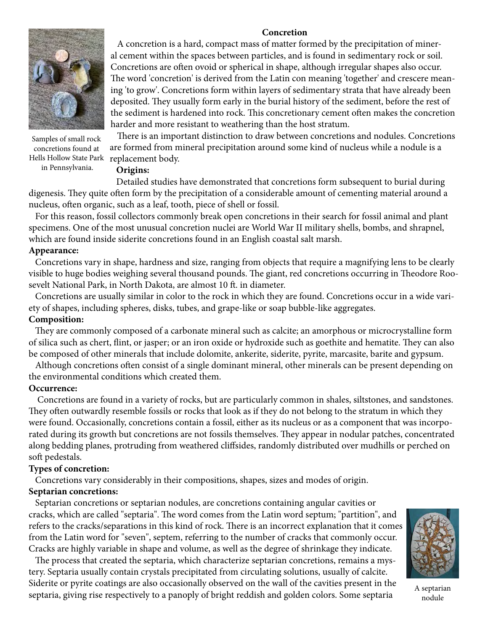## **Concretion**



Hells Hollow State Park) replacement body. Samples of small rock concretions found at in Pennsylvania.

 A concretion is a hard, compact mass of matter formed by the precipitation of mineral cement within the spaces between particles, and is found in sedimentary rock or soil. Concretions are often ovoid or spherical in shape, although irregular shapes also occur. The word 'concretion' is derived from the Latin con meaning 'together' and crescere meaning 'to grow'. Concretions form within layers of sedimentary strata that have already been deposited. They usually form early in the burial history of the sediment, before the rest of the sediment is hardened into rock. Tis concretionary cement ofen makes the concretion harder and more resistant to weathering than the host stratum.

There is an important distinction to draw between concretions and nodules. Concretions are formed from mineral precipitation around some kind of nucleus while a nodule is a

## **Origins:**

 Detailed studies have demonstrated that concretions form subsequent to burial during digenesis. They quite often form by the precipitation of a considerable amount of cementing material around a nucleus, often organic, such as a leaf, tooth, piece of shell or fossil.

 For this reason, fossil collectors commonly break open concretions in their search for fossil animal and plant specimens. One of the most unusual concretion nuclei are World War II military shells, bombs, and shrapnel, which are found inside siderite concretions found in an English coastal salt marsh.

#### **Appearance:**

 Concretions vary in shape, hardness and size, ranging from objects that require a magnifying lens to be clearly visible to huge bodies weighing several thousand pounds. The giant, red concretions occurring in Theodore Roosevelt National Park, in North Dakota, are almost 10 ft. in diameter.

 Concretions are usually similar in color to the rock in which they are found. Concretions occur in a wide variety of shapes, including spheres, disks, tubes, and grape-like or soap bubble-like aggregates.

#### **Composition:**

They are commonly composed of a carbonate mineral such as calcite; an amorphous or microcrystalline form of silica such as chert, flint, or jasper; or an iron oxide or hydroxide such as goethite and hematite. They can also be composed of other minerals that include dolomite, ankerite, siderite, pyrite, marcasite, barite and gypsum.

 Although concretions ofen consist of a single dominant mineral, other minerals can be present depending on the environmental conditions which created them.

#### **Occurrence:**

 Concretions are found in a variety of rocks, but are particularly common in shales, siltstones, and sandstones. They often outwardly resemble fossils or rocks that look as if they do not belong to the stratum in which they were found. Occasionally, concretions contain a fossil, either as its nucleus or as a component that was incorporated during its growth but concretions are not fossils themselves. They appear in nodular patches, concentrated along bedding planes, protruding from weathered clifsides, randomly distributed over mudhills or perched on soft pedestals.

#### **Types of concretion:**

Concretions vary considerably in their compositions, shapes, sizes and modes of origin.

## **Septarian concretions:**

 Septarian concretions or septarian nodules, are concretions containing angular cavities or cracks, which are called "septaria". The word comes from the Latin word septum; "partition", and refers to the cracks/separations in this kind of rock. There is an incorrect explanation that it comes from the Latin word for "seven", septem, referring to the number of cracks that commonly occur. Cracks are highly variable in shape and volume, as well as the degree of shrinkage they indicate.

The process that created the septaria, which characterize septarian concretions, remains a mystery. Septaria usually contain crystals precipitated from circulating solutions, usually of calcite. Siderite or pyrite coatings are also occasionally observed on the wall of the cavities present in the septaria, giving rise respectively to a panoply of bright reddish and golden colors. Some septaria



A septarian nodule